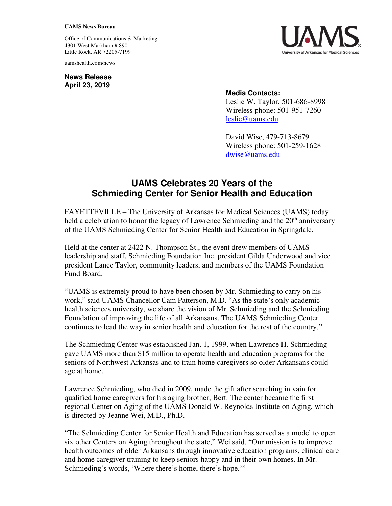## **UAMS News Bureau**

Office of Communications & Marketing 4301 West Markham # 890 Little Rock, AR 72205-7199

uamshealth.com/news

**News Release April 23, 2019**



## **Media Contacts:**

Leslie W. Taylor, 501-686-8998 Wireless phone: 501-951-7260 [leslie@uams.edu](mailto:leslie@uams.edu)

David Wise, 479-713-8679 Wireless phone: 501-259-1628 [dwise@uams.edu](mailto:dwise@uams.edu)

## **UAMS Celebrates 20 Years of the Schmieding Center for Senior Health and Education**

FAYETTEVILLE – The University of Arkansas for Medical Sciences (UAMS) today held a celebration to honor the legacy of Lawrence Schmieding and the 20<sup>th</sup> anniversary of the UAMS Schmieding Center for Senior Health and Education in Springdale.

Held at the center at 2422 N. Thompson St., the event drew members of UAMS leadership and staff, Schmieding Foundation Inc. president Gilda Underwood and vice president Lance Taylor, community leaders, and members of the UAMS Foundation Fund Board.

"UAMS is extremely proud to have been chosen by Mr. Schmieding to carry on his work," said UAMS Chancellor Cam Patterson, M.D. "As the state's only academic health sciences university, we share the vision of Mr. Schmieding and the Schmieding Foundation of improving the life of all Arkansans. The UAMS Schmieding Center continues to lead the way in senior health and education for the rest of the country."

The Schmieding Center was established Jan. 1, 1999, when Lawrence H. Schmieding gave UAMS more than \$15 million to operate health and education programs for the seniors of Northwest Arkansas and to train home caregivers so older Arkansans could age at home.

Lawrence Schmieding, who died in 2009, made the gift after searching in vain for qualified home caregivers for his aging brother, Bert. The center became the first regional Center on Aging of the UAMS Donald W. Reynolds Institute on Aging, which is directed by Jeanne Wei, M.D., Ph.D.

"The Schmieding Center for Senior Health and Education has served as a model to open six other Centers on Aging throughout the state," Wei said. "Our mission is to improve health outcomes of older Arkansans through innovative education programs, clinical care and home caregiver training to keep seniors happy and in their own homes. In Mr. Schmieding's words, 'Where there's home, there's hope.'"